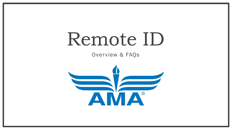# Remote ID

Overview & FAQs

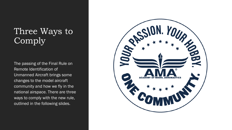### Three Ways to Comply

The passing of the Final Rule on Remote Identification of Unmanned Aircraft brings some changes to the model aircraft community and how we fly in the national airspace. There are three ways to comply with the new rule, outlined in the following slides.

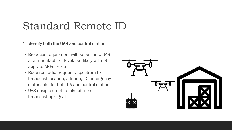# Standard Remote ID

### 1. Identify both the UAS and control station

- Broadcast equipment will be built into UAS at a manufacturer level, but likely will not apply to ARFs or kits.
- Requires radio frequency spectrum to broadcast location, altitude, ID, emergency status, etc. for both UA and control station.
- **UAS designed not to take off if not** broadcasting signal.

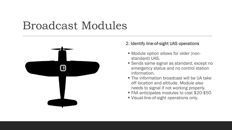# Broadcast Modules



### 2. Identify line-of-sight UAS operations

- Module option allows for older (nonstandard) UAS.
- Sends same signal as standard, except no emergency status and no control station information.
- The information broadcast will be UA take off location and altitude. Module also needs to signal if not working properly.
- FAA anticipates modules to cost \$20-\$50.
- Visual-line-of-sight operations only.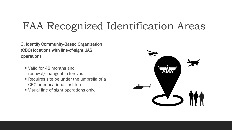# FAA Recognized Identification Areas

3. Identify Community-Based Organization (CBO) locations with line-of-sight UAS operations

- Valid for 48 months and renewal/changeable forever.
- Requires site be under the umbrella of a CBO or educational institute.
- Visual line of sight operations only.

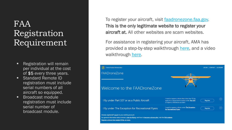### FAA Registration Requirement

- Registration will remain per individual at the cost of \$5 every three years.
- Standard Remote ID registration must include serial numbers of all aircraft so equipped.
- Broadcast module registration must include serial number of broadcast module.

To register your aircraft, visit [faadronezone.faa.gov.](https://faadronezone.faa.gov/#/) This is the only legitimate website to register your aircraft at. All other websites are scam websites.

For assistance in registering your aircraft, AMA has provided a step-by-step walkthrough [here,](https://amablog.modelaircraft.org/amagov/2020/12/16/faa-registration-renewal-process/) and a video walkthrough [here.](https://youtu.be/LxU90q8bSgU)

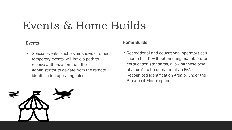# Events & Home Builds

■ Special events, such as air shows or other temporary events, will have a path to receive authorization from the Administrator to deviate from the remote identification operating rules.

### Events **Exents Events Exents Exents Exercise 2**

■ Recreational and educational operators can "home build" without meeting manufacturer certification standards, allowing these type of aircraft to be operated at an FAA Recognized Identification Area or under the Broadcast Model option.

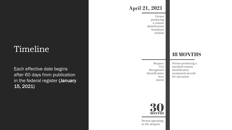### Timeline

Each effective date begins after 60 days from publication in the federal register (January 15, 2021)

### **April 21, 2021**

Person producing a remote identification broadcast module

#### Request FAA Recognized Identification Area status

Person producing a standard remote identification unmanned aircraft for operation

**18 MONTHS** 



Person operating in the airspace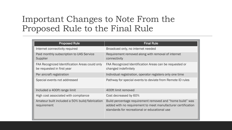### Important Changes to Note From the Proposed Rule to the Final Rule

| <b>Proposed Rule</b>                                                         | <b>Final Rule</b>                                                                                                                                                          |
|------------------------------------------------------------------------------|----------------------------------------------------------------------------------------------------------------------------------------------------------------------------|
| Internet connectivity required                                               | Broadcast only, no internet needed                                                                                                                                         |
| Paid monthly subscription to UAS Service<br>Supplier                         | Requirement removed along with removal of internet<br>connectivity                                                                                                         |
| FAA Recognized Identification Areas could only<br>be requested in first year | FAA Recognized Identification Areas can be requested or<br>changed indefinitely                                                                                            |
| Per aircraft registration                                                    | Individual registration, operator registers only one time                                                                                                                  |
| Special events not addressed                                                 | Pathway for special events to deviate from Remote ID rules                                                                                                                 |
| Included a 400ft range limit                                                 | 400ft limit removed                                                                                                                                                        |
| High cost associated with compliance                                         | Cost decreased by 60%                                                                                                                                                      |
| Amateur built included a 50% build/fabrication<br>requirement                | Build percentage requirement removed and "home build" was<br>added with no requirement to meet manufacturer certification<br>standards for recreational or educational use |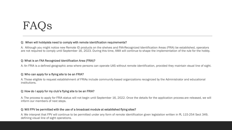# FAQs

#### Q: When will hobbyists need to comply with remote identification requirements?

A: Although you might notice new Remote ID products on the shelves and FAA-Recognized Identification Areas (FRIA) be established, operators are not required to comply until September 16, 2023. During this time, AMA will continue to shape the implementation of the rule for the hobby.

### Q: What is an FAA Recognized Identification Area (FRIA)?

A: An FRIA is a defined geographic area where persons can operate UAS without remote identification, provided they maintain visual line of sight.

### Q: Who can apply for a flying site to be an FRIA?

A: Those eligible to request establishment of FRIAs include community-based organizations recognized by the Administrator and educational institutions.

#### Q: How do I apply for my club's flying site to be an FRIA?

A: The process to apply for FRIA status will not begin until September 16, 2022. Once the details for the application process are released, we will inform our members of next steps.

#### Q: Will FPV be permitted with the use of a broadcast module at established flying sites?

A: We interpret that FPV will continue to be permitted under any form of remote identification given legislation written in PL 115-254 Sect 349, defining visual line of sight operations.